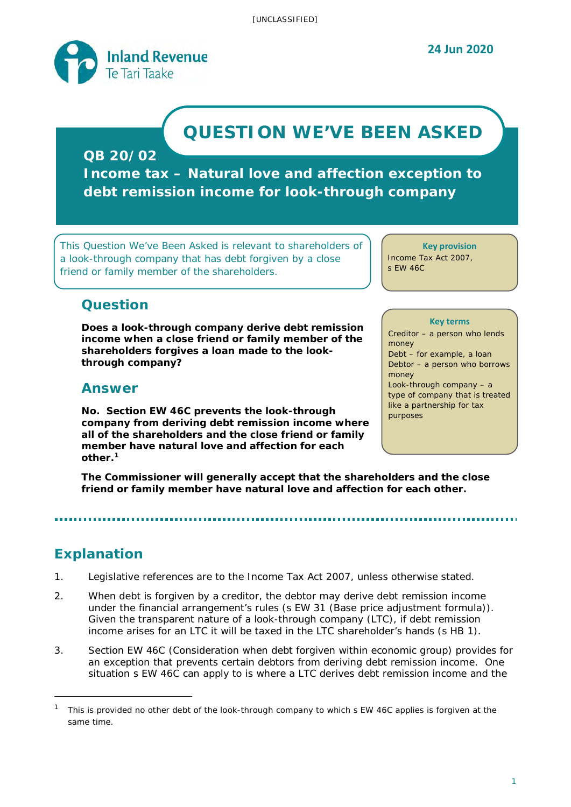

# **QUESTION WE'VE BEEN ASKED**

**QB 20/02**

**Income tax – Natural love and affection exception to debt remission income for look-through company**

*This Question We've Been Asked is relevant to shareholders of a look-through company that has debt forgiven by a close friend or family member of the shareholders.*

**Key provision** Income Tax Act 2007,

s EW 46C

# **Question**

**Does a look-through company derive debt remission income when a close friend or family member of the shareholders forgives a loan made to the lookthrough company?** 

# **Answer**

**No. Section EW 46C prevents the look-through company from deriving debt remission income where all of the shareholders and the close friend or family member have natural love and affection for each other.[1](#page-0-0)** 

#### **Key terms**

Creditor – a person who lends money Debt – for example, a loan Debtor – a person who borrows money Look-through company – a type of company that is treated like a partnership for tax purposes

**The Commissioner will generally accept that the shareholders and the close friend or family member have natural love and affection for each other.** 

# **Explanation**

- 1. Legislative references are to the Income Tax Act 2007, unless otherwise stated.
- 2. When debt is forgiven by a creditor, the debtor may derive debt remission income under the financial arrangement's rules (s EW 31 (Base price adjustment formula)). Given the transparent nature of a look-through company (LTC), if debt remission income arises for an LTC it will be taxed in the LTC shareholder's hands (s HB 1).
- 3. Section EW 46C (Consideration when debt forgiven within economic group) provides for an exception that prevents certain debtors from deriving debt remission income. One situation s EW 46C can apply to is where a LTC derives debt remission income and the

<span id="page-0-0"></span><sup>1</sup> This is provided no other debt of the look-through company to which s EW 46C applies is forgiven at the same time.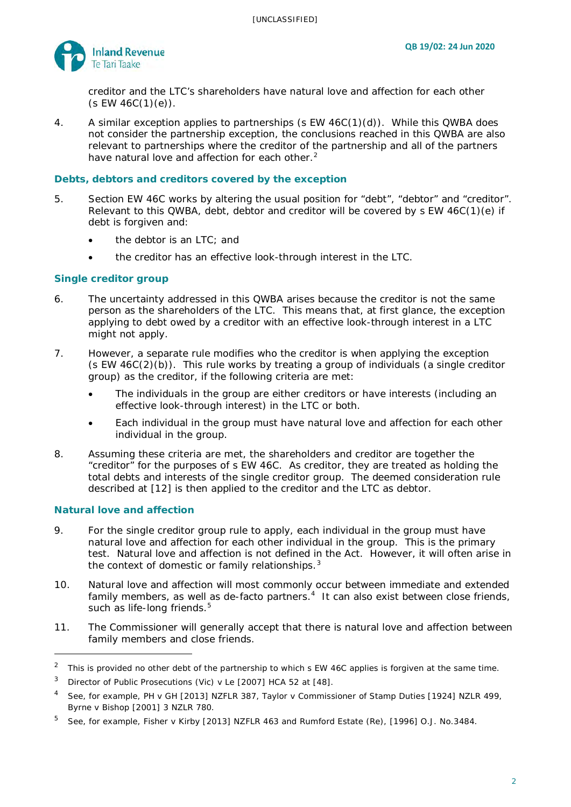

creditor and the LTC's shareholders have natural love and affection for each other  $(S EW 46C(1)(e)).$ 

4. A similar exception applies to partnerships (s EW 46C(1)(d)). While this QWBA does not consider the partnership exception, the conclusions reached in this QWBA are also relevant to partnerships where the creditor of the partnership and all of the partners have natural love and affection for each other.<sup>[2](#page-1-0)</sup>

#### **Debts, debtors and creditors covered by the exception**

- 5. Section EW 46C works by altering the usual position for "debt", "debtor" and "creditor". Relevant to this QWBA, debt, debtor and creditor will be covered by s EW 46C(1)(e) if debt is forgiven and:
	- the debtor is an LTC; and
	- the creditor has an effective look-through interest in the LTC.

#### **Single creditor group**

- 6. The uncertainty addressed in this QWBA arises because the creditor is not the same person as the shareholders of the LTC. This means that, at first glance, the exception applying to debt owed by a creditor with an effective look-through interest in a LTC might not apply.
- 7. However, a separate rule modifies who the creditor is when applying the exception (s EW 46C(2)(b)). This rule works by treating a group of individuals (a single creditor group) as the creditor, if the following criteria are met:
	- The individuals in the group are either creditors or have interests (including an effective look-through interest) in the LTC or both.
	- Each individual in the group must have natural love and affection for each other individual in the group.
- 8. Assuming these criteria are met, the shareholders and creditor are together the "creditor" for the purposes of s EW 46C. As creditor, they are treated as holding the total debts and interests of the single creditor group. The deemed consideration rule described at [\[12\]](#page-2-0) is then applied to the creditor and the LTC as debtor.

#### **Natural love and affection**

- 9. For the single creditor group rule to apply, each individual in the group must have natural love and affection for each other individual in the group. This is the primary test. Natural love and affection is not defined in the Act. However, it will often arise in the context of domestic or family relationships. $3$
- 10. Natural love and affection will most commonly occur between immediate and extended family members, as well as de-facto partners.<sup>4</sup> It can also exist between close friends, such as life-long friends.<sup>[5](#page-1-3)</sup>
- 11. The Commissioner will generally accept that there is natural love and affection between family members and close friends.

<span id="page-1-0"></span><sup>&</sup>lt;sup>2</sup> This is provided no other debt of the partnership to which s EW 46C applies is forgiven at the same time.

<span id="page-1-1"></span><sup>3</sup> *Director of Public Prosecutions (Vic) v Le* [2007] HCA 52 at [48].

<span id="page-1-2"></span><sup>4</sup> See, for example, *PH v GH* [2013] NZFLR 387, *Taylor v Commissioner of Stamp Duties* [1924] NZLR 499, *Byrne v Bishop* [2001] 3 NZLR 780.

<span id="page-1-3"></span><sup>5</sup> See, for example, *Fisher v Kirby* [2013] NZFLR 463 and *Rumford Estate (Re)*, [1996] O.J. No.3484.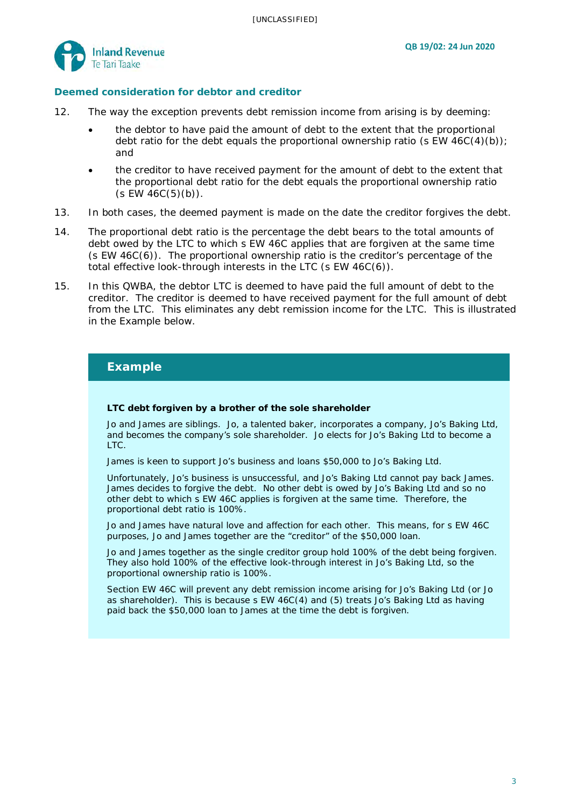

#### **Deemed consideration for debtor and creditor**

- <span id="page-2-0"></span>12. The way the exception prevents debt remission income from arising is by deeming:
	- the debtor to have paid the amount of debt to the extent that the proportional debt ratio for the debt equals the proportional ownership ratio (s EW  $46C(4)(b)$ ); and
	- the creditor to have received payment for the amount of debt to the extent that the proportional debt ratio for the debt equals the proportional ownership ratio  $(S EW 46C(5)(b)).$
- 13. In both cases, the deemed payment is made on the date the creditor forgives the debt.
- 14. The proportional debt ratio is the percentage the debt bears to the total amounts of debt owed by the LTC to which s EW 46C applies that are forgiven at the same time (s EW 46C(6)). The proportional ownership ratio is the creditor's percentage of the total effective look-through interests in the LTC (s EW 46C(6)).
- 15. In this QWBA, the debtor LTC is deemed to have paid the full amount of debt to the creditor. The creditor is deemed to have received payment for the full amount of debt from the LTC. This eliminates any debt remission income for the LTC. This is illustrated in the Example below.

### **Example**

#### **LTC debt forgiven by a brother of the sole shareholder**

Jo and James are siblings. Jo, a talented baker, incorporates a company, Jo's Baking Ltd, and becomes the company's sole shareholder. Jo elects for Jo's Baking Ltd to become a LTC.

James is keen to support Jo's business and loans \$50,000 to Jo's Baking Ltd.

Unfortunately, Jo's business is unsuccessful, and Jo's Baking Ltd cannot pay back James. James decides to forgive the debt. No other debt is owed by Jo's Baking Ltd and so no other debt to which s EW 46C applies is forgiven at the same time. Therefore, the proportional debt ratio is 100%.

Jo and James have natural love and affection for each other. This means, for s EW 46C purposes, Jo and James together are the "creditor" of the \$50,000 loan.

Jo and James together as the single creditor group hold 100% of the debt being forgiven. They also hold 100% of the effective look-through interest in Jo's Baking Ltd, so the proportional ownership ratio is 100%.

Section EW 46C will prevent any debt remission income arising for Jo's Baking Ltd (or Jo as shareholder). This is because s EW 46C(4) and (5) treats Jo's Baking Ltd as having paid back the \$50,000 loan to James at the time the debt is forgiven.